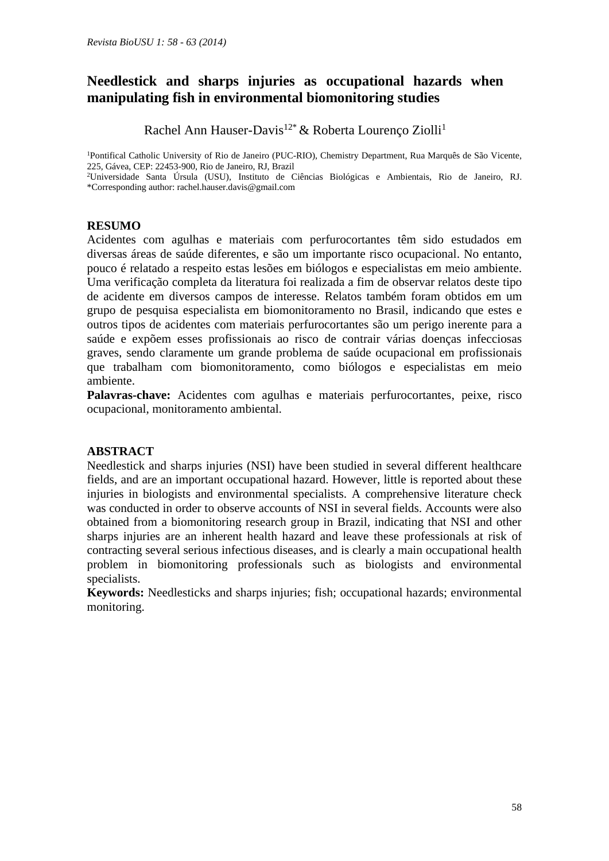# **Needlestick and sharps injuries as occupational hazards when manipulating fish in environmental biomonitoring studies**

Rachel Ann Hauser-Davis<sup>12\*</sup> & Roberta Lourenco Ziolli<sup>1</sup>

<sup>1</sup>Pontifical Catholic University of Rio de Janeiro (PUC-RIO), Chemistry Department, Rua Marquês de São Vicente, 225, Gávea, CEP: 22453-900, Rio de Janeiro, RJ, Brazil

<sup>2</sup>Universidade Santa Úrsula (USU), Instituto de Ciências Biológicas e Ambientais, Rio de Janeiro, RJ. \*Corresponding author: rachel.hauser.davis@gmail.com

# **RESUMO**

Acidentes com agulhas e materiais com perfurocortantes têm sido estudados em diversas áreas de saúde diferentes, e são um importante risco ocupacional. No entanto, pouco é relatado a respeito estas lesões em biólogos e especialistas em meio ambiente. Uma verificação completa da literatura foi realizada a fim de observar relatos deste tipo de acidente em diversos campos de interesse. Relatos também foram obtidos em um grupo de pesquisa especialista em biomonitoramento no Brasil, indicando que estes e outros tipos de acidentes com materiais perfurocortantes são um perigo inerente para a saúde e expõem esses profissionais ao risco de contrair várias doenças infecciosas graves, sendo claramente um grande problema de saúde ocupacional em profissionais que trabalham com biomonitoramento, como biólogos e especialistas em meio ambiente.

**Palavras-chave:** Acidentes com agulhas e materiais perfurocortantes, peixe, risco ocupacional, monitoramento ambiental.

# **ABSTRACT**

Needlestick and sharps injuries (NSI) have been studied in several different healthcare fields, and are an important occupational hazard. However, little is reported about these injuries in biologists and environmental specialists. A comprehensive literature check was conducted in order to observe accounts of NSI in several fields. Accounts were also obtained from a biomonitoring research group in Brazil, indicating that NSI and other sharps injuries are an inherent health hazard and leave these professionals at risk of contracting several serious infectious diseases, and is clearly a main occupational health problem in biomonitoring professionals such as biologists and environmental specialists.

**Keywords:** Needlesticks and sharps injuries; fish; occupational hazards; environmental monitoring.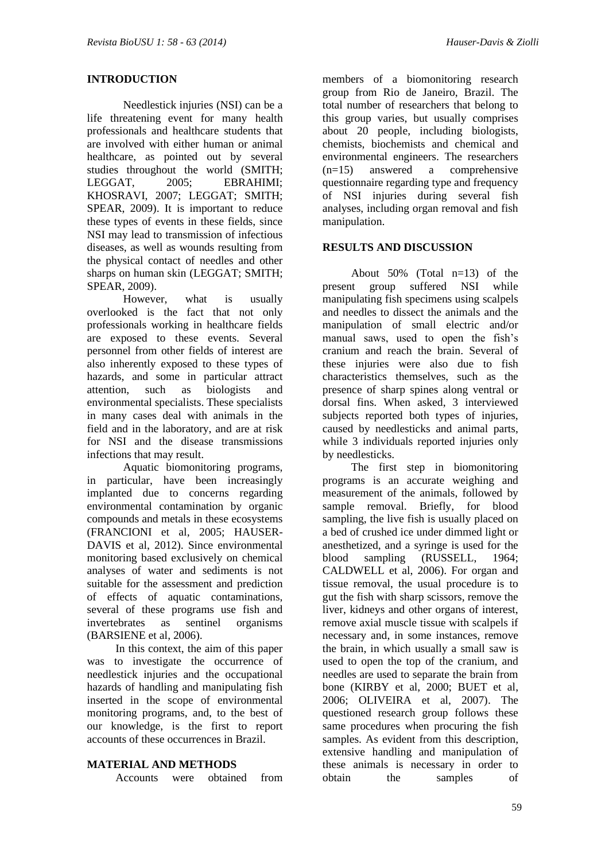#### **INTRODUCTION**

Needlestick injuries (NSI) can be a life threatening event for many health professionals and healthcare students that are involved with either human or animal healthcare, as pointed out by several studies throughout the world (SMITH; LEGGAT, 2005; EBRAHIMI; KHOSRAVI, 2007; LEGGAT; SMITH; SPEAR, 2009). It is important to reduce these types of events in these fields, since NSI may lead to transmission of infectious diseases, as well as wounds resulting from the physical contact of needles and other sharps on human skin (LEGGAT; SMITH; SPEAR, 2009).

However, what is usually overlooked is the fact that not only professionals working in healthcare fields are exposed to these events. Several personnel from other fields of interest are also inherently exposed to these types of hazards, and some in particular attract attention, such as biologists and environmental specialists. These specialists in many cases deal with animals in the field and in the laboratory, and are at risk for NSI and the disease transmissions infections that may result.

Aquatic biomonitoring programs, in particular, have been increasingly implanted due to concerns regarding environmental contamination by organic compounds and metals in these ecosystems (FRANCIONI et al, 2005; HAUSER-DAVIS et al. 2012). Since environmental monitoring based exclusively on chemical analyses of water and sediments is not suitable for the assessment and prediction of effects of aquatic contaminations, several of these programs use fish and invertebrates as sentinel organisms (BARSIENE et al, 2006).

In this context, the aim of this paper was to investigate the occurrence of needlestick injuries and the occupational hazards of handling and manipulating fish inserted in the scope of environmental monitoring programs, and, to the best of our knowledge, is the first to report accounts of these occurrences in Brazil.

#### **MATERIAL AND METHODS**

Accounts were obtained from

members of a biomonitoring research group from Rio de Janeiro, Brazil. The total number of researchers that belong to this group varies, but usually comprises about 20 people, including biologists, chemists, biochemists and chemical and environmental engineers. The researchers (n=15) answered a comprehensive questionnaire regarding type and frequency of NSI injuries during several fish analyses, including organ removal and fish manipulation.

## **RESULTS AND DISCUSSION**

About  $50\%$  (Total  $n=13$ ) of the present group suffered NSI while manipulating fish specimens using scalpels and needles to dissect the animals and the manipulation of small electric and/or manual saws, used to open the fish's cranium and reach the brain. Several of these injuries were also due to fish characteristics themselves, such as the presence of sharp spines along ventral or dorsal fins. When asked, 3 interviewed subjects reported both types of injuries, caused by needlesticks and animal parts, while 3 individuals reported injuries only by needlesticks.

The first step in biomonitoring programs is an accurate weighing and measurement of the animals, followed by sample removal. Briefly, for blood sampling, the live fish is usually placed on a bed of crushed ice under dimmed light or anesthetized, and a syringe is used for the blood sampling (RUSSELL, 1964; CALDWELL et al, 2006). For organ and tissue removal, the usual procedure is to gut the fish with sharp scissors, remove the liver, kidneys and other organs of interest, remove axial muscle tissue with scalpels if necessary and, in some instances, remove the brain, in which usually a small saw is used to open the top of the cranium, and needles are used to separate the brain from bone (KIRBY et al, 2000; BUET et al, 2006; OLIVEIRA et al, 2007). The questioned research group follows these same procedures when procuring the fish samples. As evident from this description, extensive handling and manipulation of these animals is necessary in order to obtain the samples of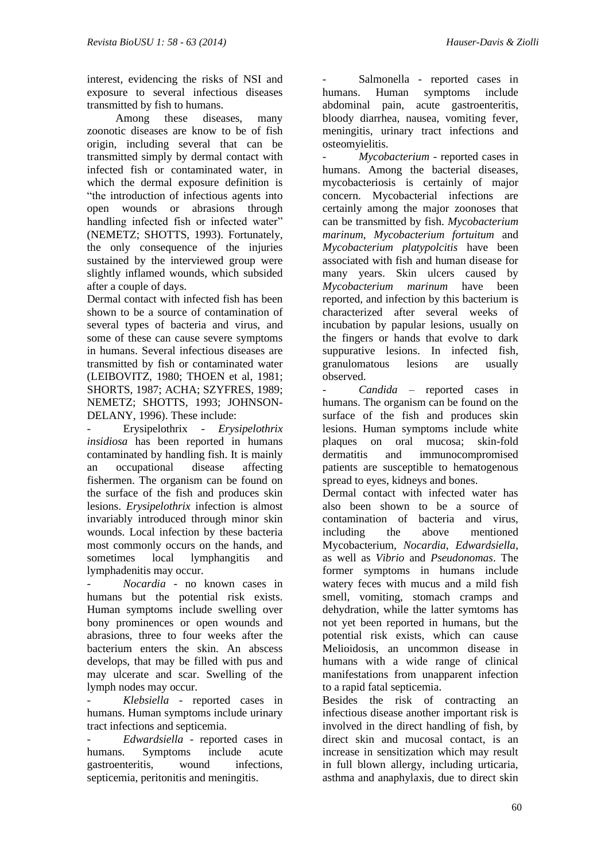interest, evidencing the risks of NSI and exposure to several infectious diseases transmitted by fish to humans.

Among these diseases, many zoonotic diseases are know to be of fish origin, including several that can be transmitted simply by dermal contact with infected fish or contaminated water, in which the dermal exposure definition is "the introduction of infectious agents into open wounds or abrasions through handling infected fish or infected water" (NEMETZ; SHOTTS, 1993). Fortunately, the only consequence of the injuries sustained by the interviewed group were slightly inflamed wounds, which subsided after a couple of days.

Dermal contact with infected fish has been shown to be a source of contamination of several types of bacteria and virus, and some of these can cause severe symptoms in humans. Several infectious diseases are transmitted by fish or contaminated water (LEIBOVITZ, 1980; THOEN et al, 1981; SHORTS, 1987; ACHA; SZYFRES, 1989; NEMETZ; SHOTTS, 1993; JOHNSON-DELANY, 1996). These include:

- Erysipelothrix - *Erysipelothrix insidiosa* has been reported in humans contaminated by handling fish. It is mainly an occupational disease affecting fishermen. The organism can be found on the surface of the fish and produces skin lesions. *Erysipelothrix* infection is almost invariably introduced through minor skin wounds. Local infection by these bacteria most commonly occurs on the hands, and sometimes local lymphangitis and lymphadenitis may occur.

- *Nocardia* - no known cases in humans but the potential risk exists. Human symptoms include swelling over bony prominences or open wounds and abrasions, three to four weeks after the bacterium enters the skin. An abscess develops, that may be filled with pus and may ulcerate and scar. Swelling of the lymph nodes may occur.

- *Klebsiella* - reported cases in humans. Human symptoms include urinary tract infections and septicemia.

- *Edwardsiella* - reported cases in humans. Symptoms include acute gastroenteritis, wound infections, septicemia, peritonitis and meningitis.

Salmonella - reported cases in humans. Human symptoms include abdominal pain, acute gastroenteritis, bloody diarrhea, nausea, vomiting fever, meningitis, urinary tract infections and osteomyielitis.

- *Mycobacterium* - reported cases in humans. Among the bacterial diseases, mycobacteriosis is certainly of major concern. Mycobacterial infections are certainly among the major zoonoses that can be transmitted by fish. *Mycobacterium marinum*, *Mycobacterium fortuitum* and *Mycobacterium platypolcitis* have been associated with fish and human disease for many years. Skin ulcers caused by *Mycobacterium marinum* have been reported, and infection by this bacterium is characterized after several weeks of incubation by papular lesions, usually on the fingers or hands that evolve to dark suppurative lesions. In infected fish, granulomatous lesions are usually observed.

- *Candida* – reported cases in humans. The organism can be found on the surface of the fish and produces skin lesions. Human symptoms include white plaques on oral mucosa; skin-fold dermatitis and immunocompromised patients are susceptible to hematogenous spread to eyes, kidneys and bones.

Dermal contact with infected water has also been shown to be a source of contamination of bacteria and virus, including the above mentioned Mycobacterium, *Nocardia*, *Edwardsiella*, as well as *Vibrio* and *Pseudonomas*. The former symptoms in humans include watery feces with mucus and a mild fish smell, vomiting, stomach cramps and dehydration, while the latter symtoms has not yet been reported in humans, but the potential risk exists, which can cause Melioidosis, an uncommon disease in humans with a wide range of clinical manifestations from unapparent infection to a rapid fatal septicemia.

Besides the risk of contracting an infectious disease another important risk is involved in the direct handling of fish, by direct skin and mucosal contact, is an increase in sensitization which may result in full blown allergy, including urticaria, asthma and anaphylaxis, due to direct skin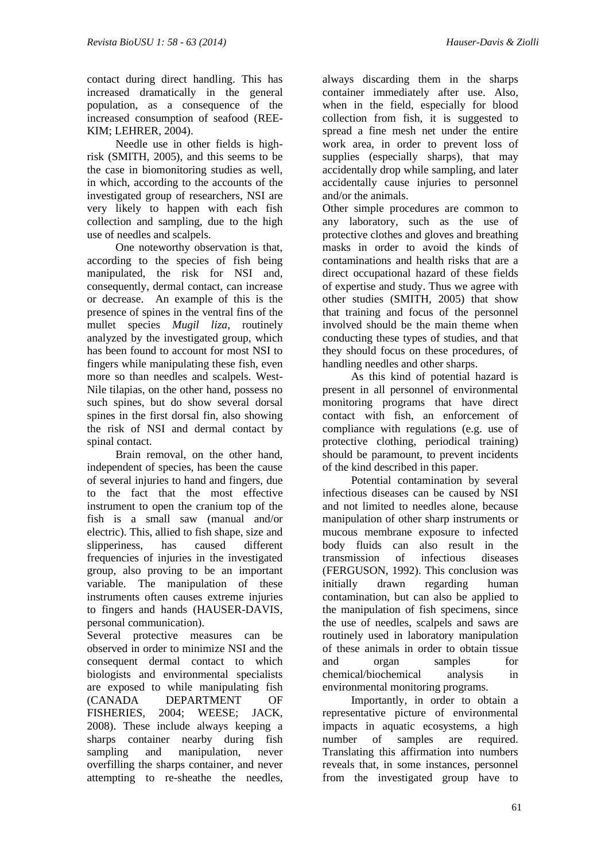contact during direct handling. This has increased dramatically in the general population, as a consequence of the increased consumption of seafood (REE-KIM; LEHRER, 2004).

Needle use in other fields is highrisk (SMITH, 2005), and this seems to be the case in biomonitoring studies as well, in which, according to the accounts of the investigated group of researchers, NSI are very likely to happen with each fish collection and sampling, due to the high use of needles and scalpels.

One noteworthy observation is that, according to the species of fish being manipulated, the risk for NSI and, consequently, dermal contact, can increase or decrease. An example of this is the presence of spines in the ventral fins of the mullet species *Mugil liza*, routinely analyzed by the investigated group, which has been found to account for most NSI to fingers while manipulating these fish, even more so than needles and scalpels. West-Nile tilapias, on the other hand, possess no such spines, but do show several dorsal spines in the first dorsal fin, also showing the risk of NSI and dermal contact by spinal contact.

Brain removal, on the other hand, independent of species, has been the cause of several injuries to hand and fingers, due to the fact that the most effective instrument to open the cranium top of the fish is a small saw (manual and/or electric). This, allied to fish shape, size and slipperiness, has caused different frequencies of injuries in the investigated group, also proving to be an important variable. The manipulation of these instruments often causes extreme injuries to fingers and hands (HAUSER-DAVIS, personal communication).

Several protective measures can be observed in order to minimize NSI and the consequent dermal contact to which biologists and environmental specialists are exposed to while manipulating fish (CANADA DEPARTMENT OF FISHERIES, 2004; WEESE: JACK, 2008). These include always keeping a sharps container nearby during fish sampling and manipulation, never overfilling the sharps container, and never attempting to re-sheathe the needles,

always discarding them in the sharps container immediately after use. Also, when in the field, especially for blood collection from fish, it is suggested to spread a fine mesh net under the entire work area, in order to prevent loss of supplies (especially sharps), that may accidentally drop while sampling, and later accidentally cause injuries to personnel and/or the animals.

Other simple procedures are common to any laboratory, such as the use of protective clothes and gloves and breathing masks in order to avoid the kinds of contaminations and health risks that are a direct occupational hazard of these fields of expertise and study. Thus we agree with other studies (SMITH, 2005) that show that training and focus of the personnel involved should be the main theme when conducting these types of studies, and that they should focus on these procedures, of handling needles and other sharps.

As this kind of potential hazard is present in all personnel of environmental monitoring programs that have direct contact with fish, an enforcement of compliance with regulations (e.g. use of protective clothing, periodical training) should be paramount, to prevent incidents of the kind described in this paper.

Potential contamination by several infectious diseases can be caused by NSI and not limited to needles alone, because manipulation of other sharp instruments or mucous membrane exposure to infected body fluids can also result in the transmission of infectious diseases (FERGUSON, 1992). This conclusion was initially drawn regarding human contamination, but can also be applied to the manipulation of fish specimens, since the use of needles, scalpels and saws are routinely used in laboratory manipulation of these animals in order to obtain tissue and organ samples for chemical/biochemical analysis in environmental monitoring programs.

Importantly, in order to obtain a representative picture of environmental impacts in aquatic ecosystems, a high number of samples are required. Translating this affirmation into numbers reveals that, in some instances, personnel from the investigated group have to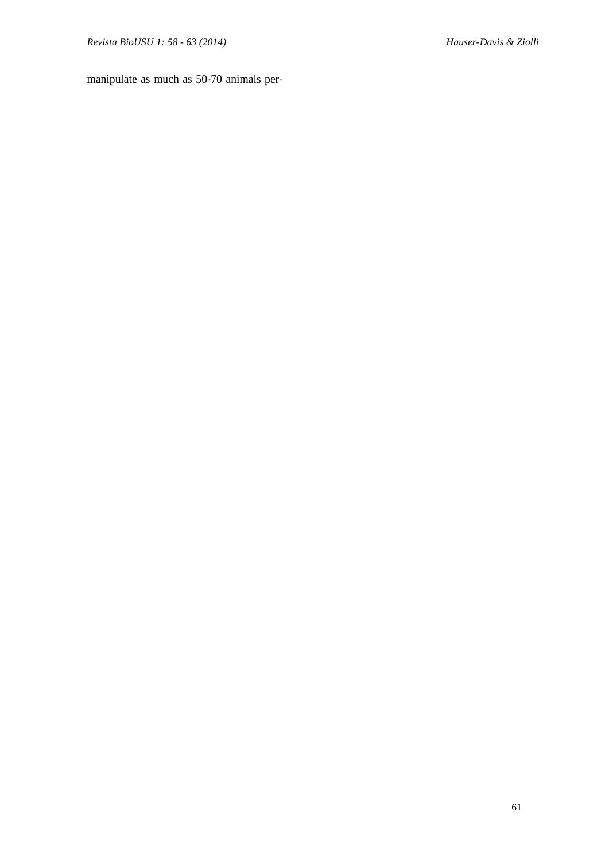manipulate as much as 50-70 animals per-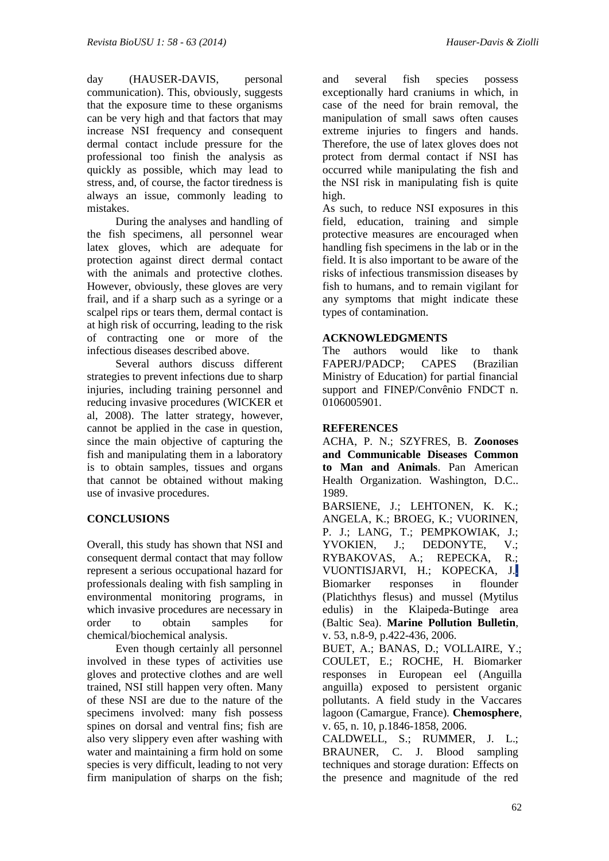day (HAUSER-DAVIS, personal communication). This, obviously, suggests that the exposure time to these organisms can be very high and that factors that may increase NSI frequency and consequent dermal contact include pressure for the professional too finish the analysis as quickly as possible, which may lead to stress, and, of course, the factor tiredness is always an issue, commonly leading to mistakes.

During the analyses and handling of the fish specimens, all personnel wear latex gloves, which are adequate for protection against direct dermal contact with the animals and protective clothes. However, obviously, these gloves are very frail, and if a sharp such as a syringe or a scalpel rips or tears them, dermal contact is at high risk of occurring, leading to the risk of contracting one or more of the infectious diseases described above.

Several authors discuss different strategies to prevent infections due to sharp injuries, including training personnel and reducing invasive procedures (WICKER et al, 2008). The latter strategy, however, cannot be applied in the case in question, since the main objective of capturing the fish and manipulating them in a laboratory is to obtain samples, tissues and organs that cannot be obtained without making use of invasive procedures.

# **CONCLUSIONS**

Overall, this study has shown that NSI and consequent dermal contact that may follow represent a serious occupational hazard for professionals dealing with fish sampling in environmental monitoring programs, in which invasive procedures are necessary in order to obtain samples for chemical/biochemical analysis.

Even though certainly all personnel involved in these types of activities use gloves and protective clothes and are well trained, NSI still happen very often. Many of these NSI are due to the nature of the specimens involved: many fish possess spines on dorsal and ventral fins; fish are also very slippery even after washing with water and maintaining a firm hold on some species is very difficult, leading to not very firm manipulation of sharps on the fish;

and several fish species possess exceptionally hard craniums in which, in case of the need for brain removal, the manipulation of small saws often causes extreme injuries to fingers and hands. Therefore, the use of latex gloves does not protect from dermal contact if NSI has occurred while manipulating the fish and the NSI risk in manipulating fish is quite high.

As such, to reduce NSI exposures in this field, education, training and simple protective measures are encouraged when handling fish specimens in the lab or in the field. It is also important to be aware of the risks of infectious transmission diseases by fish to humans, and to remain vigilant for any symptoms that might indicate these types of contamination.

## **ACKNOWLEDGMENTS**

The authors would like to thank FAPERJ/PADCP; CAPES (Brazilian Ministry of Education) for partial financial support and FINEP/Convênio FNDCT n. 0106005901.

#### **REFERENCES**

ACHA, P. N.; SZYFRES, B. **Zoonoses and Communicable Diseases Common to Man and Animals**. Pan American Health Organization. Washington, D.C.. 1989. BARSIENE, J.; LEHTONEN*,* K. K.; ANGELA, K.; BROEG, K.; VUORINEN, P. J.; LANG, T.; PEMPKOWIAK, J.; YVOKIEN, J.; DEDONYTE, V.;<br>RYBAKOVAS. A.: REPECKA, R.; RYBAKOVAS, A.; REPECKA, VUONTISJARVI, H.; KOPECKA, J.. Biomarker responses in flounder (Platichthys flesus) and mussel (Mytilus edulis) in the Klaipeda-Butinge area (Baltic Sea). **Marine Pollution Bulletin**, v. 53, n.8-9, p.422-436, 2006. BUET, A.; BANAS, D.; VOLLAIRE, Y.;

COULET, E.; ROCHE, H. Biomarker responses in European eel (Anguilla anguilla) exposed to persistent organic pollutants. A field study in the Vaccares lagoon (Camargue, France). **Chemosphere**, v. 65, n. 10, p.1846-1858, 2006.

CALDWELL, S.; RUMMER*,* J. L.; BRAUNER, C. J. Blood sampling techniques and storage duration: Effects on the presence and magnitude of the red